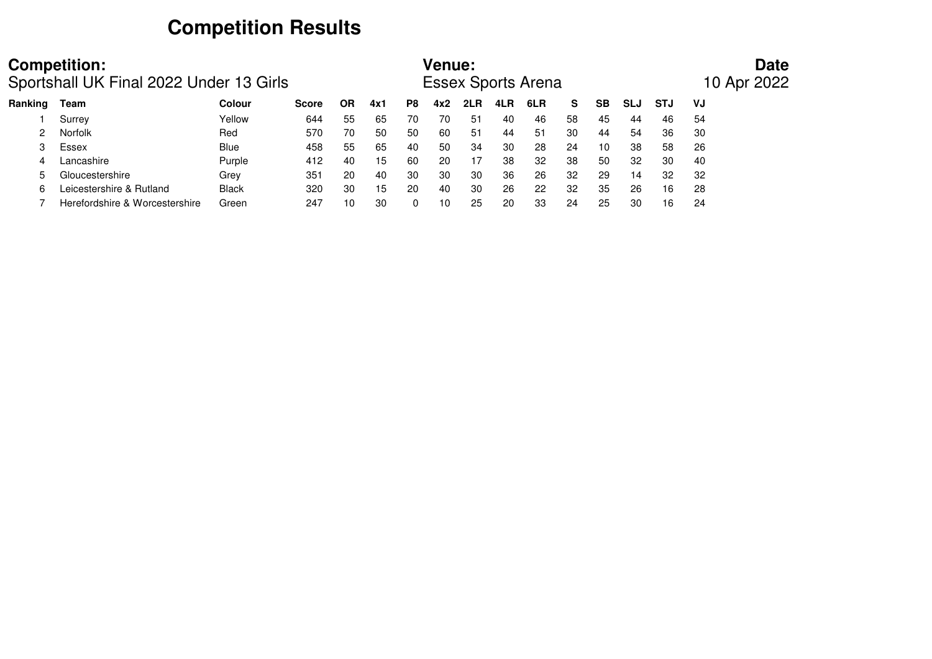# **Competition Results**

|         | <b>Competition:</b><br>Sportshall UK Final 2022 Under 13 Girls |               |              |    |     |     | <b>Venue:</b> |     |     | <b>Essex Sports Arena</b> |    |           |            |            | <b>Date</b><br>10 Apr 2022 |
|---------|----------------------------------------------------------------|---------------|--------------|----|-----|-----|---------------|-----|-----|---------------------------|----|-----------|------------|------------|----------------------------|
| Ranking | Team                                                           | <b>Colour</b> | <b>Score</b> | ΟR | 4x1 | P8  | 4x2           | 2LR | 4LR | 6LR                       | S. | <b>SB</b> | <b>SLJ</b> | <b>STJ</b> | VJ                         |
|         | Surrey                                                         | Yellow        | 644          | 55 | 65  | 70  | 70            | 51  | 40  | 46                        | 58 | 45        | 44         | 46         | 54                         |
|         | <b>Norfolk</b>                                                 | Red           | 570          | 70 | 50  | 50  | 60            | 51  | 44  | $-51$                     | 30 | 44        | 54         | 36         | 30                         |
|         | Essex                                                          | <b>Blue</b>   | 458          | 55 | 65  | 40  | 50            | 34  | 30  | 28                        | 24 | 10        | 38         | 58         | 26                         |
|         | Lancashire                                                     | Purple        | 412          | 40 | 15  | -60 | 20            | 17  | 38  | 32                        | 38 | 50        | 32         | 30         | 40                         |
|         | Gloucestershire                                                | Grey          | 351          | 20 | 40  | 30  | 30            | 30  | 36  | 26                        | 32 | 29        | 14         | 32         | 32                         |
| հ       | Leicestershire & Rutland                                       | <b>Black</b>  | 320          | 30 | 15  | 20  | 40            | 30  | 26  | 22                        | 32 | 35        | 26         | 16         | 28                         |
|         | Herefordshire & Worcestershire                                 | Green         | 247          | 10 | 30  | 0   | 10            | 25  | 20  | 33                        | 24 | 25        | 30         | 16         | 24                         |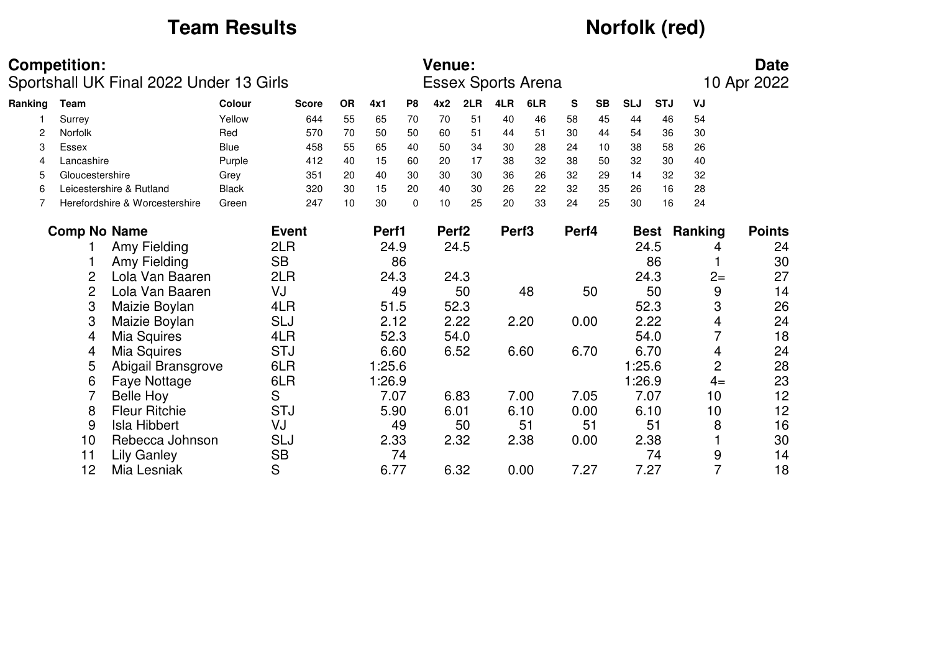# **Team Results** *Norfolk (red)*

|         | <b>Competition:</b> | Sportshall UK Final 2022 Under 13 Girls |               |              |           |        |                | <b>Venue:</b>     |      |                   | <b>Essex Sports Arena</b> |       |           |            |             |                | <b>Date</b><br>10 Apr 2022 |
|---------|---------------------|-----------------------------------------|---------------|--------------|-----------|--------|----------------|-------------------|------|-------------------|---------------------------|-------|-----------|------------|-------------|----------------|----------------------------|
| Ranking | Team                |                                         | <b>Colour</b> | <b>Score</b> | <b>OR</b> | 4x1    | P <sub>8</sub> | 4x2               | 2LR  | 4LR               | 6LR                       | S     | <b>SB</b> | <b>SLJ</b> | <b>STJ</b>  | VJ             |                            |
|         | Surrey              |                                         | Yellow        | 644          | 55        | 65     | 70             | 70                | 51   | 40                | 46                        | 58    | 45        | 44         | 46          | 54             |                            |
|         | <b>Norfolk</b>      |                                         | Red           | 570          | 70        | 50     | 50             | 60                | 51   | 44                | 51                        | 30    | 44        | 54         | 36          | 30             |                            |
| 3       | Essex               |                                         | <b>Blue</b>   | 458          | 55        | 65     | 40             | 50                | 34   | 30                | 28                        | 24    | 10        | 38         | 58          | 26             |                            |
| 4       | Lancashire          |                                         | Purple        | 412          | 40        | 15     | 60             | 20                | 17   | 38                | 32                        | 38    | 50        | 32         | 30          | 40             |                            |
| 5       | Gloucestershire     |                                         | Grey          | 351          | 20        | 40     | 30             | 30                | 30   | 36                | 26                        | 32    | 29        | 14         | 32          | 32             |                            |
| 6       |                     | Leicestershire & Rutland                | <b>Black</b>  | 320          | 30        | 15     | 20             | 40                | 30   | 26                | 22                        | 32    | 35        | 26         | 16          | 28             |                            |
|         |                     | Herefordshire & Worcestershire          | Green         | 247          | 10        | 30     | $\Omega$       | 10                | 25   | 20                | 33                        | 24    | 25        | 30         | 16          | 24             |                            |
|         | <b>Comp No Name</b> |                                         |               | <b>Event</b> |           | Perf1  |                | Perf <sub>2</sub> |      | Perf <sub>3</sub> |                           | Perf4 |           |            | <b>Best</b> | Ranking        | <b>Points</b>              |
|         |                     | Amy Fielding                            |               | 2LR          |           | 24.9   |                |                   | 24.5 |                   |                           |       |           |            | 24.5        | 4              | 24                         |
|         |                     | Amy Fielding                            |               | <b>SB</b>    |           |        | 86             |                   |      |                   |                           |       |           |            | 86          |                | 30                         |
|         | 2                   | Lola Van Baaren                         |               | 2LR          |           | 24.3   |                |                   | 24.3 |                   |                           |       |           |            | 24.3        | $2 =$          | 27                         |
|         | $\overline{2}$      | Lola Van Baaren                         |               | VJ           |           |        | 49             |                   | 50   |                   | 48                        |       | 50        |            | 50          | 9              | 14                         |
|         | 3                   | Maizie Boylan                           |               | 4LR          |           | 51.5   |                |                   | 52.3 |                   |                           |       |           |            | 52.3        | 3              | 26                         |
|         | 3                   | Maizie Boylan                           |               | <b>SLJ</b>   |           | 2.12   |                |                   | 2.22 |                   | 2.20                      | 0.00  |           |            | 2.22        | 4              | 24                         |
|         | 4                   | Mia Squires                             |               | 4LR          |           | 52.3   |                |                   | 54.0 |                   |                           |       |           |            | 54.0        | 7              | 18                         |
|         | 4                   | Mia Squires                             |               | <b>STJ</b>   |           | 6.60   |                |                   | 6.52 |                   | 6.60                      | 6.70  |           |            | 6.70        | 4              | 24                         |
|         | 5                   | Abigail Bransgrove                      |               | 6LR          |           | 1:25.6 |                |                   |      |                   |                           |       |           | 1:25.6     |             | $\overline{2}$ | 28                         |
|         | 6                   | Faye Nottage                            |               | 6LR          |           | 1:26.9 |                |                   |      |                   |                           |       |           | 1:26.9     |             | $4=$           | 23                         |
|         |                     | <b>Belle Hoy</b>                        |               | S            |           | 7.07   |                |                   | 6.83 |                   | 7.00                      | 7.05  |           |            | 7.07        | 10             | 12                         |
|         | 8                   | <b>Fleur Ritchie</b>                    |               | <b>STJ</b>   |           | 5.90   |                |                   | 6.01 |                   | 6.10                      | 0.00  |           |            | 6.10        | 10             | 12                         |
|         | 9                   | <b>Isla Hibbert</b>                     |               | VJ           |           |        | 49             |                   | 50   |                   | 51                        |       | 51        |            | 51          | 8              | 16                         |
|         | 10                  | Rebecca Johnson                         |               | <b>SLJ</b>   |           | 2.33   |                |                   | 2.32 |                   | 2.38                      | 0.00  |           |            | 2.38        |                | 30                         |
|         | 11                  | <b>Lily Ganley</b>                      |               | <b>SB</b>    |           |        | 74             |                   |      |                   |                           |       |           |            | 74          | 9              | 14                         |
|         | 12                  | Mia Lesniak                             |               | S            |           | 6.77   |                |                   | 6.32 |                   | 0.00                      | 7.27  |           |            | 7.27        | $\overline{7}$ | 18                         |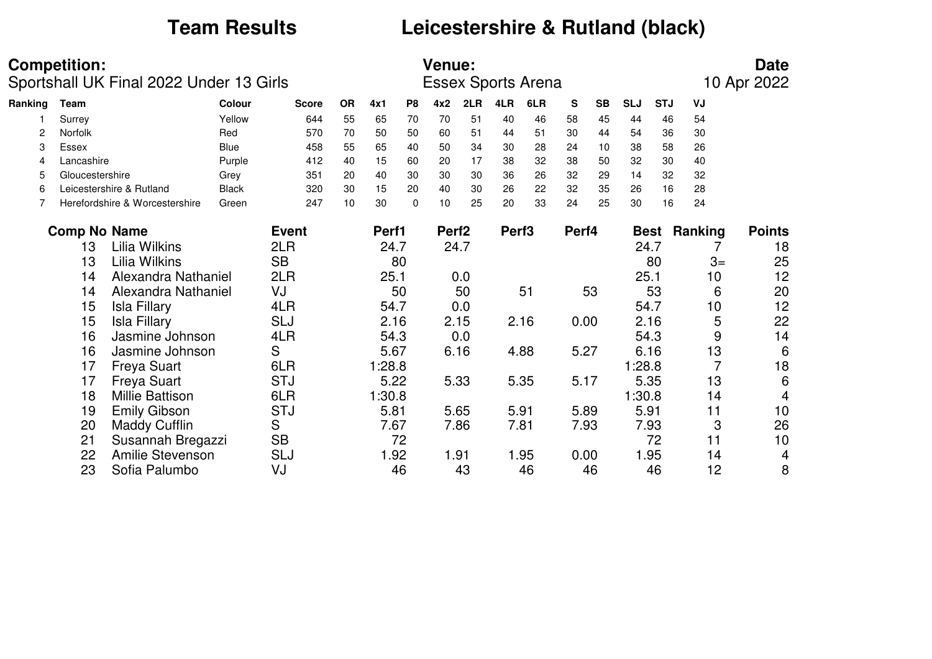# **Team Results Leicestershire & Rutland (black)**

|         | <b>Competition:</b> |                                         |              |              |           |        |                | <b>Venue:</b>     |      |                   |                           |           |           |            |             |         | <b>Date</b>    |
|---------|---------------------|-----------------------------------------|--------------|--------------|-----------|--------|----------------|-------------------|------|-------------------|---------------------------|-----------|-----------|------------|-------------|---------|----------------|
|         |                     | Sportshall UK Final 2022 Under 13 Girls |              |              |           |        |                |                   |      |                   | <b>Essex Sports Arena</b> |           |           |            |             |         | 10 Apr 2022    |
| Ranking | Team                |                                         | Colour       | <b>Score</b> | <b>OR</b> | 4x1    | P <sub>8</sub> | 4x2               | 2LR  | 4LR               | 6LR                       | ${\bf S}$ | <b>SB</b> | <b>SLJ</b> | <b>STJ</b>  | VJ      |                |
|         | Surrey              |                                         | Yellow       | 644          | 55        | 65     | 70             | 70                | 51   | 40                | 46                        | 58        | 45        | 44         | 46          | 54      |                |
| 2       | Norfolk             |                                         | Red          | 570          | 70        | 50     | 50             | 60                | 51   | 44                | 51                        | 30        | 44        | 54         | 36          | 30      |                |
| 3       | Essex               |                                         | Blue         | 458          | 55        | 65     | 40             | 50                | 34   | 30                | 28                        | 24        | 10        | 38         | 58          | 26      |                |
| 4       | Lancashire          |                                         | Purple       | 412          | 40        | 15     | 60             | 20                | 17   | 38                | 32                        | 38        | 50        | 32         | 30          | 40      |                |
| 5       | Gloucestershire     |                                         | Grey         | 351          | 20        | 40     | 30             | 30                | 30   | 36                | 26                        | 32        | 29        | 14         | 32          | 32      |                |
| 6       |                     | Leicestershire & Rutland                | <b>Black</b> | 320          | 30        | 15     | 20             | 40                | 30   | 26                | 22                        | 32        | 35        | 26         | 16          | 28      |                |
|         |                     | Herefordshire & Worcestershire          | Green        | 247          | 10        | 30     | $\Omega$       | 10                | 25   | 20                | 33                        | 24        | 25        | 30         | 16          | 24      |                |
|         | <b>Comp No Name</b> |                                         |              | <b>Event</b> |           | Perf1  |                | Perf <sub>2</sub> |      | Perf <sub>3</sub> |                           | Perf4     |           |            | <b>Best</b> | Ranking | <b>Points</b>  |
|         | 13                  | Lilia Wilkins                           |              | 2LR          |           | 24.7   |                |                   | 24.7 |                   |                           |           |           |            | 24.7        |         | 18             |
|         | 13                  | Lilia Wilkins                           |              | <b>SB</b>    |           |        | 80             |                   |      |                   |                           |           |           |            | 80          | $3=$    | 25             |
|         | 14                  | Alexandra Nathaniel                     |              | 2LR          |           | 25.1   |                |                   | 0.0  |                   |                           |           |           | 25.1       |             | 10      | 12             |
|         | 14                  | Alexandra Nathaniel                     |              | VJ           |           |        | 50             |                   | 50   |                   | 51                        |           | 53        |            | 53          | 6       | 20             |
|         | 15                  | <b>Isla Fillary</b>                     |              | 4LR          |           | 54.7   |                |                   | 0.0  |                   |                           |           |           |            | 54.7        | 10      | 12             |
|         | 15                  | <b>Isla Fillary</b>                     |              | <b>SLJ</b>   |           | 2.16   |                |                   | 2.15 |                   | 2.16                      | 0.00      |           |            | 2.16        | 5       | 22             |
|         | 16                  | Jasmine Johnson                         |              | 4LR          |           | 54.3   |                |                   | 0.0  |                   |                           |           |           |            | 54.3        | 9       | 14             |
|         | 16                  | Jasmine Johnson                         |              | S            |           | 5.67   |                |                   | 6.16 |                   | 4.88                      | 5.27      |           |            | 6.16        | 13      | 6              |
|         | 17                  | <b>Freya Suart</b>                      |              | 6LR          |           | 1:28.8 |                |                   |      |                   |                           |           |           | 1:28.8     |             |         | 18             |
|         | 17                  | <b>Freya Suart</b>                      |              | <b>STJ</b>   |           | 5.22   |                |                   | 5.33 |                   | 5.35                      | 5.17      |           |            | 5.35        | 13      | 6              |
|         | 18                  | Millie Battison                         |              | 6LR          |           | 1:30.8 |                |                   |      |                   |                           |           |           | 1:30.8     |             | 14      | $\overline{4}$ |
|         | 19                  | <b>Emily Gibson</b>                     |              | <b>STJ</b>   |           | 5.81   |                |                   | 5.65 |                   | 5.91                      | 5.89      |           |            | 5.91        | 11      | 10             |
|         | 20                  | <b>Maddy Cufflin</b>                    |              | S            |           | 7.67   |                |                   | 7.86 |                   | 7.81                      | 7.93      |           |            | 7.93        | 3       | 26             |
|         | 21                  | Susannah Bregazzi                       |              | <b>SB</b>    |           |        | 72             |                   |      |                   |                           |           |           |            | 72          | 11      | 10             |
|         | 22                  | <b>Amilie Stevenson</b>                 |              | <b>SLJ</b>   |           | 1.92   |                |                   | 1.91 |                   | 1.95                      | 0.00      |           |            | 1.95        | 14      | 4              |
|         | 23                  | Sofia Palumbo                           |              | VJ           |           |        | 46             |                   | 43   |                   | 46                        |           | 46        |            | 46          | 12      | 8              |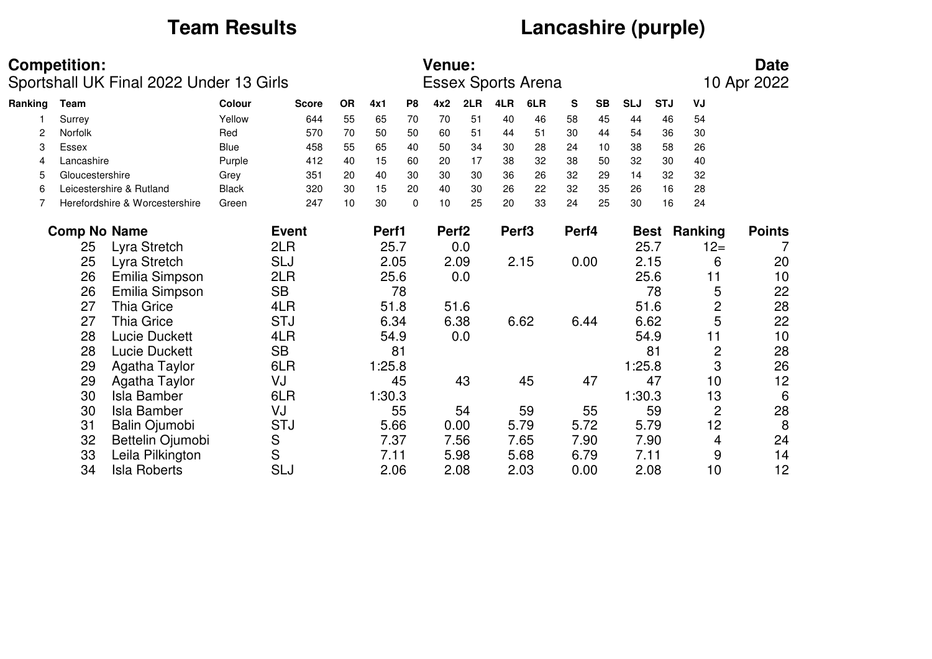# **Team Results Lancashire (purple)**

|         | <b>Competition:</b> |                                         |              |              |           |        |          | <b>Venue:</b>     |      |                   |                           |       |           |            |             |                | <b>Date</b>   |
|---------|---------------------|-----------------------------------------|--------------|--------------|-----------|--------|----------|-------------------|------|-------------------|---------------------------|-------|-----------|------------|-------------|----------------|---------------|
|         |                     | Sportshall UK Final 2022 Under 13 Girls |              |              |           |        |          |                   |      |                   | <b>Essex Sports Arena</b> |       |           |            |             |                | 10 Apr 2022   |
| Ranking | Team                |                                         | Colour       | <b>Score</b> | <b>OR</b> | 4x1    | P8       | 4x2               | 2LR  | 4LR               | 6LR                       | S     | <b>SB</b> | <b>SLJ</b> | <b>STJ</b>  | VJ             |               |
|         | Surrey              |                                         | Yellow       | 644          | 55        | 65     | 70       | 70                | 51   | 40                | 46                        | 58    | 45        | 44         | 46          | 54             |               |
| 2       | <b>Norfolk</b>      |                                         | Red          | 570          | 70        | 50     | 50       | 60                | 51   | 44                | 51                        | 30    | 44        | 54         | 36          | 30             |               |
| 3       | Essex               |                                         | Blue         | 458          | 55        | 65     | 40       | 50                | 34   | 30                | 28                        | 24    | 10        | 38         | 58          | 26             |               |
| 4       | Lancashire          |                                         | Purple       | 412          | 40        | 15     | 60       | 20                | 17   | 38                | 32                        | 38    | 50        | 32         | 30          | 40             |               |
| 5       | Gloucestershire     |                                         | Grey         | 351          | 20        | 40     | 30       | 30                | 30   | 36                | 26                        | 32    | 29        | 14         | 32          | 32             |               |
| 6       |                     | Leicestershire & Rutland                | <b>Black</b> | 320          | 30        | 15     | 20       | 40                | 30   | 26                | 22                        | 32    | 35        | 26         | 16          | 28             |               |
|         |                     | Herefordshire & Worcestershire          | Green        | 247          | 10        | 30     | $\Omega$ | 10                | 25   | 20                | 33                        | 24    | 25        | 30         | 16          | 24             |               |
|         |                     | <b>Comp No Name</b>                     |              | <b>Event</b> |           | Perf1  |          | Perf <sub>2</sub> |      | Perf <sub>3</sub> |                           | Perf4 |           |            | <b>Best</b> | Ranking        | <b>Points</b> |
|         | 25                  | Lyra Stretch                            |              | 2LR          |           | 25.7   |          |                   | 0.0  |                   |                           |       |           |            | 25.7        | $12 =$         | 7             |
|         | 25                  | Lyra Stretch                            |              | <b>SLJ</b>   |           | 2.05   |          |                   | 2.09 |                   | 2.15                      | 0.00  |           |            | 2.15        | 6              | 20            |
|         | 26                  | Emilia Simpson                          |              | 2LR          |           | 25.6   |          |                   | 0.0  |                   |                           |       |           |            | 25.6        | 11             | 10            |
|         | 26                  | Emilia Simpson                          |              | <b>SB</b>    |           |        | 78       |                   |      |                   |                           |       |           |            | 78          | 5              | 22            |
|         | 27                  | <b>Thia Grice</b>                       |              | 4LR          |           | 51.8   |          |                   | 51.6 |                   |                           |       |           |            | 51.6        | $\overline{c}$ | 28            |
|         | 27                  | <b>Thia Grice</b>                       |              | <b>STJ</b>   |           | 6.34   |          |                   | 6.38 |                   | 6.62                      | 6.44  |           |            | 6.62        | 5              | 22            |
|         | 28                  | <b>Lucie Duckett</b>                    |              | 4LR          |           | 54.9   |          |                   | 0.0  |                   |                           |       |           |            | 54.9        | 11             | 10            |
|         | 28                  | <b>Lucie Duckett</b>                    |              | <b>SB</b>    |           |        | 81       |                   |      |                   |                           |       |           |            | 81          | $\overline{c}$ | 28            |
|         | 29                  | Agatha Taylor                           |              | 6LR          |           | 1:25.8 |          |                   |      |                   |                           |       |           | 1:25.8     |             | 3              | 26            |
|         | 29                  | Agatha Taylor                           |              | VJ           |           |        | 45       |                   | 43   |                   | 45                        |       | 47        |            | 47          | 10             | 12            |
|         | 30                  | <b>Isla Bamber</b>                      |              | 6LR          |           | 1:30.3 |          |                   |      |                   |                           |       |           | 1:30.3     |             | 13             | 6             |
|         | 30                  | <b>Isla Bamber</b>                      |              | VJ           |           |        | 55       |                   | 54   |                   | 59                        |       | 55        |            | 59          | $\overline{c}$ | 28            |
|         | 31                  | Balin Ojumobi                           |              | <b>STJ</b>   |           | 5.66   |          |                   | 0.00 |                   | 5.79                      | 5.72  |           |            | 5.79        | 12             | 8             |
|         | 32                  | Bettelin Ojumobi                        |              | S            |           | 7.37   |          |                   | 7.56 |                   | 7.65                      |       | 7.90      |            | 7.90        | 4              | 24            |
|         | 33                  | Leila Pilkington                        |              | S            |           | 7.11   |          |                   | 5.98 |                   | 5.68                      | 6.79  |           |            | 7.11        | 9              | 14            |
|         | 34                  | <b>Isla Roberts</b>                     |              | SLJ          |           | 2.06   |          |                   | 2.08 |                   | 2.03                      | 0.00  |           |            | 2.08        | 10             | 12            |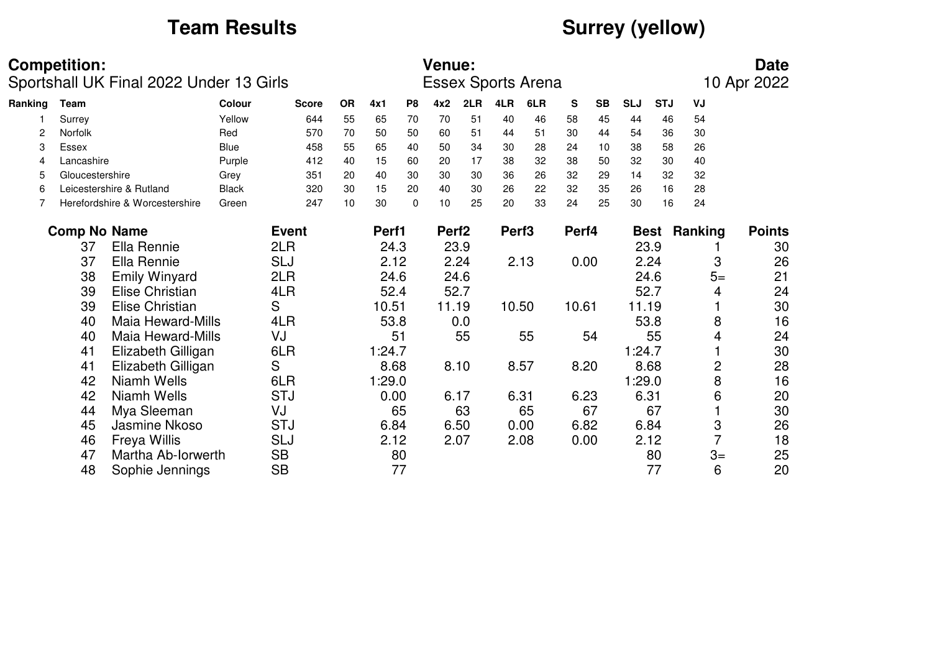# **Team Results CONSURGE 2008 Surrey (yellow)**

|         | <b>Competition:</b> | Sportshall UK Final 2022 Under 13 Girls |              |              |           |        |                | <b>Venue:</b>     |      |                   | <b>Essex Sports Arena</b> |       |           |            |            |                | <b>Date</b><br>10 Apr 2022 |
|---------|---------------------|-----------------------------------------|--------------|--------------|-----------|--------|----------------|-------------------|------|-------------------|---------------------------|-------|-----------|------------|------------|----------------|----------------------------|
| Ranking | <b>Team</b>         |                                         | Colour       | <b>Score</b> | <b>OR</b> | 4x1    | P <sub>8</sub> | 4x2               | 2LR  | 4LR               | 6LR                       | S     | <b>SB</b> | <b>SLJ</b> | <b>STJ</b> | VJ             |                            |
|         | Surrey              |                                         | Yellow       | 644          | 55        | 65     | 70             | 70                | 51   | 40                | 46                        | 58    | 45        | 44         | 46         | 54             |                            |
| 2       | <b>Norfolk</b>      |                                         | Red          | 570          | 70        | 50     | 50             | 60                | 51   | 44                | 51                        | 30    | 44        | 54         | 36         | 30             |                            |
| 3       | Essex               |                                         | Blue         | 458          | 55        | 65     | 40             | 50                | 34   | 30                | 28                        | 24    | 10        | 38         | 58         | 26             |                            |
| 4       | Lancashire          |                                         | Purple       | 412          | 40        | 15     | 60             | 20                | 17   | 38                | 32                        | 38    | 50        | 32         | 30         | 40             |                            |
| 5       | Gloucestershire     |                                         | Grey         | 351          | 20        | 40     | 30             | 30                | 30   | 36                | 26                        | 32    | 29        | 14         | 32         | 32             |                            |
| 6       |                     | Leicestershire & Rutland                | <b>Black</b> | 320          | 30        | 15     | 20             | 40                | 30   | 26                | 22                        | 32    | 35        | 26         | 16         | 28             |                            |
|         |                     | Herefordshire & Worcestershire          | Green        | 247          | 10        | 30     | $\Omega$       | 10                | 25   | 20                | 33                        | 24    | 25        | 30         | 16         | 24             |                            |
|         | <b>Comp No Name</b> |                                         |              | <b>Event</b> |           | Perf1  |                | Perf <sub>2</sub> |      | Perf <sub>3</sub> |                           | Perf4 |           |            | Best       | Ranking        | <b>Points</b>              |
|         | 37                  | Ella Rennie                             |              | 2LR          |           | 24.3   |                | 23.9              |      |                   |                           |       |           | 23.9       |            |                | 30                         |
|         | 37                  | Ella Rennie                             |              | SLJ          |           | 2.12   |                |                   | 2.24 |                   | 2.13                      | 0.00  |           |            | 2.24       | 3              | 26                         |
|         | 38                  | <b>Emily Winyard</b>                    |              | 2LR          |           | 24.6   |                |                   | 24.6 |                   |                           |       |           |            | 24.6       | $5=$           | 21                         |
|         | 39                  | Elise Christian                         |              | 4LR          |           | 52.4   |                |                   | 52.7 |                   |                           |       |           | 52.7       |            | 4              | 24                         |
|         | 39                  | <b>Elise Christian</b>                  |              | S            |           | 10.51  |                | 11.19             |      | 10.50             |                           | 10.61 |           | 11.19      |            |                | 30                         |
|         | 40                  | <b>Maia Heward-Mills</b>                |              | 4LR          |           | 53.8   |                |                   | 0.0  |                   |                           |       |           | 53.8       |            | 8              | 16                         |
|         | 40                  | <b>Maia Heward-Mills</b>                |              | VJ           |           |        | 51             |                   | 55   |                   | 55                        |       | 54        |            | 55         | 4              | 24                         |
|         | 41                  | Elizabeth Gilligan                      |              | 6LR          |           | 1:24.7 |                |                   |      |                   |                           |       |           | 1:24.7     |            |                | 30                         |
|         | 41                  | Elizabeth Gilligan                      |              | S            |           | 8.68   |                |                   | 8.10 |                   | 8.57                      | 8.20  |           | 8.68       |            | $\overline{c}$ | 28                         |
|         | 42                  | Niamh Wells                             |              | 6LR          |           | 1:29.0 |                |                   |      |                   |                           |       |           | 1:29.0     |            | 8              | 16                         |
|         | 42                  | Niamh Wells                             |              | <b>STJ</b>   |           | 0.00   |                |                   | 6.17 |                   | 6.31                      | 6.23  |           | 6.31       |            | 6              | 20                         |
|         | 44                  | Mya Sleeman                             |              | VJ           |           |        | 65             |                   | 63   |                   | 65                        |       | 67        |            | 67         |                | 30                         |
|         | 45                  | Jasmine Nkoso                           |              | <b>STJ</b>   |           | 6.84   |                |                   | 6.50 |                   | 0.00                      | 6.82  |           |            | 6.84       | 3              | 26                         |
|         | 46                  | <b>Freya Willis</b>                     |              | SLJ          |           | 2.12   |                |                   | 2.07 |                   | 2.08                      | 0.00  |           |            | 2.12       | $\overline{7}$ | 18                         |
|         | 47                  | Martha Ab-Iorwerth                      |              | <b>SB</b>    |           |        | 80             |                   |      |                   |                           |       |           |            | 80         | $3=$           | 25                         |
|         | 48                  | Sophie Jennings                         |              | <b>SB</b>    |           |        | 77             |                   |      |                   |                           |       |           |            | 77         | 6              | 20                         |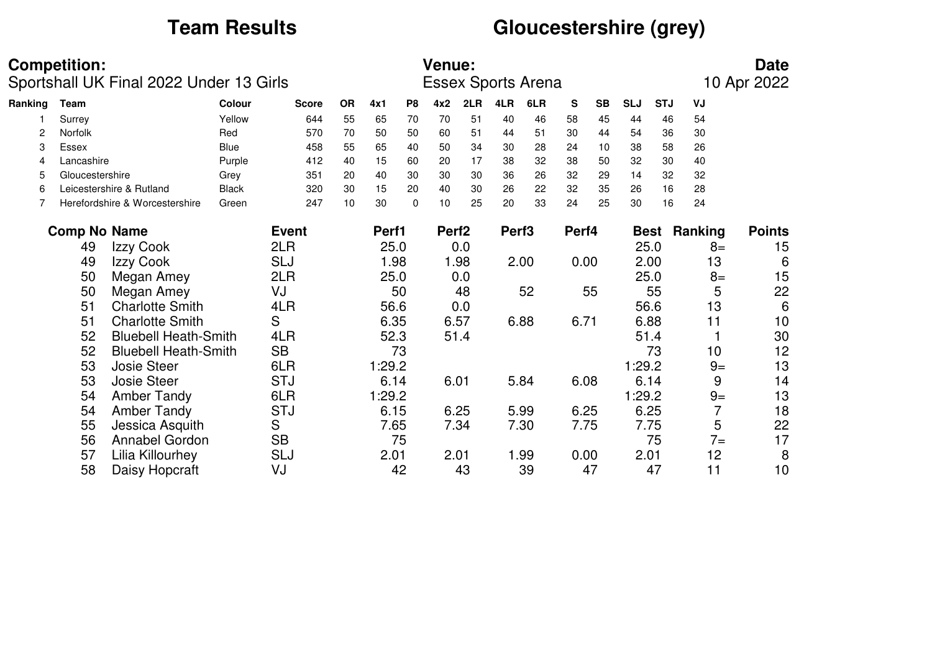# **Team Results Gloucestershire (grey)**

|         | <b>Competition:</b> | Sportshall UK Final 2022 Under 13 Girls |              |              |           |        |                | <b>Venue:</b>     |      |                   | <b>Essex Sports Arena</b> |       |           |            |            |         | <b>Date</b><br>10 Apr 2022 |
|---------|---------------------|-----------------------------------------|--------------|--------------|-----------|--------|----------------|-------------------|------|-------------------|---------------------------|-------|-----------|------------|------------|---------|----------------------------|
| Ranking | Team                |                                         | Colour       | <b>Score</b> | <b>OR</b> | 4x1    | P <sub>8</sub> | 4x2               | 2LR  | 4LR               | 6LR                       | S     | <b>SB</b> | <b>SLJ</b> | <b>STJ</b> | VJ      |                            |
|         | Surrey              |                                         | Yellow       | 644          | 55        | 65     | 70             | 70                | 51   | 40                | 46                        | 58    | 45        | 44         | 46         | 54      |                            |
| 2       | Norfolk             |                                         | Red          | 570          | 70        | 50     | 50             | 60                | 51   | 44                | 51                        | 30    | 44        | 54         | 36         | 30      |                            |
| 3       | Essex               |                                         | Blue         | 458          | 55        | 65     | 40             | 50                | 34   | 30                | 28                        | 24    | 10        | 38         | 58         | 26      |                            |
| 4       | Lancashire          |                                         | Purple       | 412          | 40        | 15     | 60             | 20                | 17   | 38                | 32                        | 38    | 50        | 32         | 30         | 40      |                            |
| 5       | Gloucestershire     |                                         | Grey         | 351          | 20        | 40     | 30             | 30                | 30   | 36                | 26                        | 32    | 29        | 14         | 32         | 32      |                            |
| 6       |                     | Leicestershire & Rutland                | <b>Black</b> | 320          | 30        | 15     | 20             | 40                | 30   | 26                | 22                        | 32    | 35        | 26         | 16         | 28      |                            |
|         |                     | Herefordshire & Worcestershire          | Green        | 247          | 10        | 30     | 0              | 10                | 25   | 20                | 33                        | 24    | 25        | 30         | 16         | 24      |                            |
|         | <b>Comp No Name</b> |                                         |              | <b>Event</b> |           | Perf1  |                | Perf <sub>2</sub> |      | Perf <sub>3</sub> |                           | Perf4 |           |            | Best       | Ranking | <b>Points</b>              |
|         | 49                  | Izzy Cook                               |              | 2LR          |           | 25.0   |                |                   | 0.0  |                   |                           |       |           | 25.0       |            | $8=$    | 15                         |
|         | 49                  | Izzy Cook                               |              | <b>SLJ</b>   |           | 1.98   |                |                   | 1.98 |                   | 2.00                      | 0.00  |           | 2.00       |            | 13      | 6                          |
|         | 50                  | Megan Amey                              |              | 2LR          |           | 25.0   |                |                   | 0.0  |                   |                           |       |           | 25.0       |            | $8=$    | 15                         |
|         | 50                  | Megan Amey                              |              | VJ           |           |        | 50             |                   | 48   |                   | 52                        |       | 55        |            | 55         | 5       | 22                         |
|         | 51                  | <b>Charlotte Smith</b>                  |              | 4LR          |           | 56.6   |                |                   | 0.0  |                   |                           |       |           | 56.6       |            | 13      | 6                          |
|         | 51                  | <b>Charlotte Smith</b>                  |              | S            |           | 6.35   |                |                   | 6.57 |                   | 6.88                      | 6.71  |           | 6.88       |            | 11      | 10                         |
|         | 52                  | <b>Bluebell Heath-Smith</b>             |              | 4LR          |           | 52.3   |                |                   | 51.4 |                   |                           |       |           | 51.4       |            |         | 30                         |
|         | 52                  | <b>Bluebell Heath-Smith</b>             |              | <b>SB</b>    |           |        | 73             |                   |      |                   |                           |       |           |            | 73         | 10      | 12                         |
|         | 53                  | <b>Josie Steer</b>                      |              | 6LR          |           | 1:29.2 |                |                   |      |                   |                           |       |           | 1:29.2     |            | $9=$    | 13                         |
|         | 53                  | <b>Josie Steer</b>                      |              | <b>STJ</b>   |           | 6.14   |                | 6.01              |      |                   | 5.84                      | 6.08  |           | 6.14       |            | 9       | 14                         |
|         | 54                  | <b>Amber Tandy</b>                      |              | 6LR          |           | 1:29.2 |                |                   |      |                   |                           |       |           | 1:29.2     |            | $9=$    | 13                         |
|         | 54                  | <b>Amber Tandy</b>                      |              | <b>STJ</b>   |           | 6.15   |                |                   | 6.25 |                   | 5.99                      | 6.25  |           | 6.25       |            | 7       | 18                         |
|         | 55                  | Jessica Asquith                         |              | S            |           | 7.65   |                |                   | 7.34 |                   | 7.30                      | 7.75  |           | 7.75       |            | 5       | 22                         |
|         | 56                  | Annabel Gordon                          |              | <b>SB</b>    |           |        | 75             |                   |      |                   |                           |       |           |            | 75         | $7=$    | 17                         |
|         | 57                  | Lilia Killourhey                        |              | <b>SLJ</b>   |           | 2.01   |                | 2.01              |      |                   | 1.99                      | 0.00  |           | 2.01       |            | 12      | 8                          |
|         | 58                  | Daisy Hopcraft                          |              | VJ           |           |        | 42             |                   | 43   |                   | 39                        |       | 47        |            | 47         | 11      | 10                         |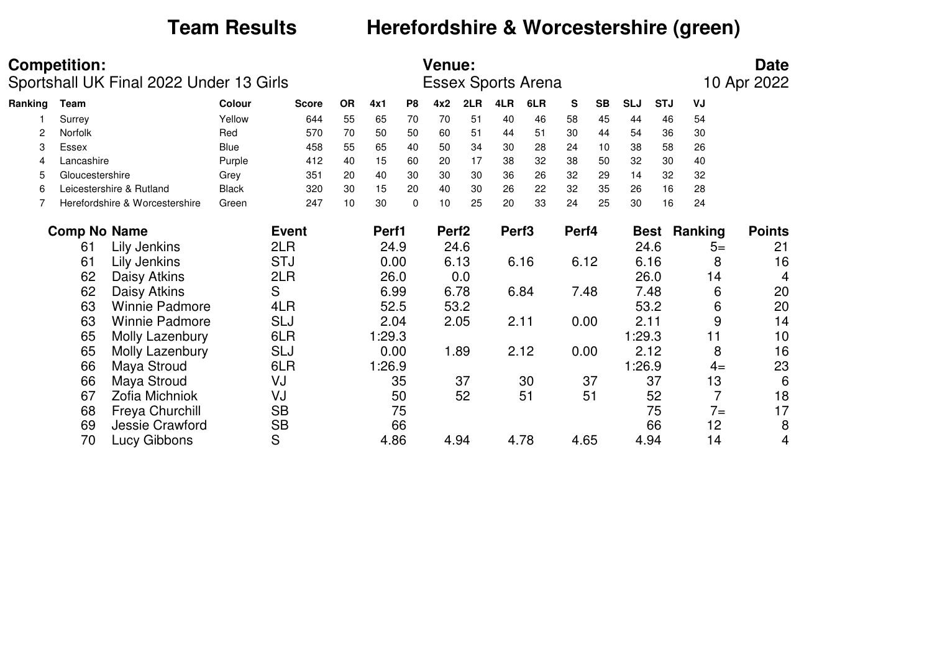# **Team Results Herefordshire & Worcestershire (green)**

|         | <b>Competition:</b> |                                         |              |              |           |        |                | <b>Venue:</b>     |      |                   |                           |       |           |            |             |         | <b>Date</b>          |
|---------|---------------------|-----------------------------------------|--------------|--------------|-----------|--------|----------------|-------------------|------|-------------------|---------------------------|-------|-----------|------------|-------------|---------|----------------------|
|         |                     | Sportshall UK Final 2022 Under 13 Girls |              |              |           |        |                |                   |      |                   | <b>Essex Sports Arena</b> |       |           |            |             |         | 10 Apr 2022          |
| Ranking | <b>Team</b>         |                                         | Colour       | <b>Score</b> | <b>OR</b> | 4x1    | P <sub>8</sub> | 4x2               | 2LR  | 4LR               | 6LR                       | S     | <b>SB</b> | <b>SLJ</b> | <b>STJ</b>  | VJ      |                      |
|         | Surrey              |                                         | Yellow       | 644          | 55        | 65     | 70             | 70                | 51   | 40                | 46                        | 58    | 45        | 44         | 46          | 54      |                      |
| 2       | Norfolk             |                                         | Red          | 570          | 70        | 50     | 50             | 60                | 51   | 44                | 51                        | 30    | 44        | 54         | 36          | 30      |                      |
| 3       | Essex               |                                         | <b>Blue</b>  | 458          | 55        | 65     | 40             | 50                | 34   | 30                | 28                        | 24    | 10        | 38         | 58          | 26      |                      |
| 4       | Lancashire          |                                         | Purple       | 412          | 40        | 15     | 60             | 20                | 17   | 38                | 32                        | 38    | 50        | 32         | 30          | 40      |                      |
| 5       | Gloucestershire     |                                         | Grey         | 351          | 20        | 40     | 30             | 30                | 30   | 36                | 26                        | 32    | 29        | 14         | 32          | 32      |                      |
| 6       |                     | Leicestershire & Rutland                | <b>Black</b> | 320          | 30        | 15     | 20             | 40                | 30   | 26                | 22                        | 32    | 35        | 26         | 16          | 28      |                      |
|         |                     | Herefordshire & Worcestershire          | Green        | 247          | 10        | 30     | $\mathbf{0}$   | 10                | 25   | 20                | 33                        | 24    | 25        | 30         | 16          | 24      |                      |
|         | <b>Comp No Name</b> |                                         |              | <b>Event</b> |           | Perf1  |                | Perf <sub>2</sub> |      | Perf <sub>3</sub> |                           | Perf4 |           |            | <b>Best</b> | Ranking | <b>Points</b>        |
|         | 61                  | Lily Jenkins                            |              | 2LR          |           | 24.9   |                |                   | 24.6 |                   |                           |       |           |            | 24.6        |         | 21<br>$5=$           |
|         | 61                  | Lily Jenkins                            |              | <b>STJ</b>   |           | 0.00   |                |                   | 6.13 |                   | 6.16                      | 6.12  |           |            | 6.16        |         | 16<br>8              |
|         | 62                  | Daisy Atkins                            |              | 2LR          |           | 26.0   |                |                   | 0.0  |                   |                           |       |           |            | 26.0        |         | 4<br>14              |
|         | 62                  | Daisy Atkins                            |              | S            |           | 6.99   |                |                   | 6.78 |                   | 6.84                      | 7.48  |           |            | 7.48        |         | 20<br>6              |
|         | 63                  | <b>Winnie Padmore</b>                   |              | 4LR          |           | 52.5   |                |                   | 53.2 |                   |                           |       |           |            | 53.2        |         | 20<br>6              |
|         | 63                  | <b>Winnie Padmore</b>                   |              | SLJ          |           | 2.04   |                |                   | 2.05 | 2.11              |                           | 0.00  |           |            | 2.11        |         | 9<br>14              |
|         | 65                  | Molly Lazenbury                         |              | 6LR          |           | 1:29.3 |                |                   |      |                   |                           |       |           | 1:29.3     |             |         | 10<br>11             |
|         | 65                  | Molly Lazenbury                         |              | <b>SLJ</b>   |           | 0.00   |                |                   | 1.89 |                   | 2.12                      | 0.00  |           |            | 2.12        |         | 16<br>8              |
|         | 66                  | Maya Stroud                             |              | 6LR          |           | 1:26.9 |                |                   |      |                   |                           |       |           | 1:26.9     |             |         | 23<br>$4=$           |
|         | 66                  | Maya Stroud                             |              | VJ           |           |        | 35             |                   | 37   |                   | 30                        |       | 37        |            | 37          |         | 13<br>6              |
|         | 67                  | Zofia Michniok                          |              | VJ           |           |        | 50             |                   | 52   |                   | 51                        |       | 51        |            | 52          |         | $\overline{7}$<br>18 |
|         | 68                  | Freya Churchill                         |              | <b>SB</b>    |           |        | 75             |                   |      |                   |                           |       |           |            | 75          |         | 17<br>$7=$           |
|         | 69                  | Jessie Crawford                         |              | <b>SB</b>    |           |        | 66             |                   |      |                   |                           |       |           |            | 66          |         | 12<br>8              |
|         | 70                  | Lucy Gibbons                            |              | S            |           | 4.86   |                |                   | 4.94 |                   | 4.78                      | 4.65  |           |            | 4.94        |         | 14<br>4              |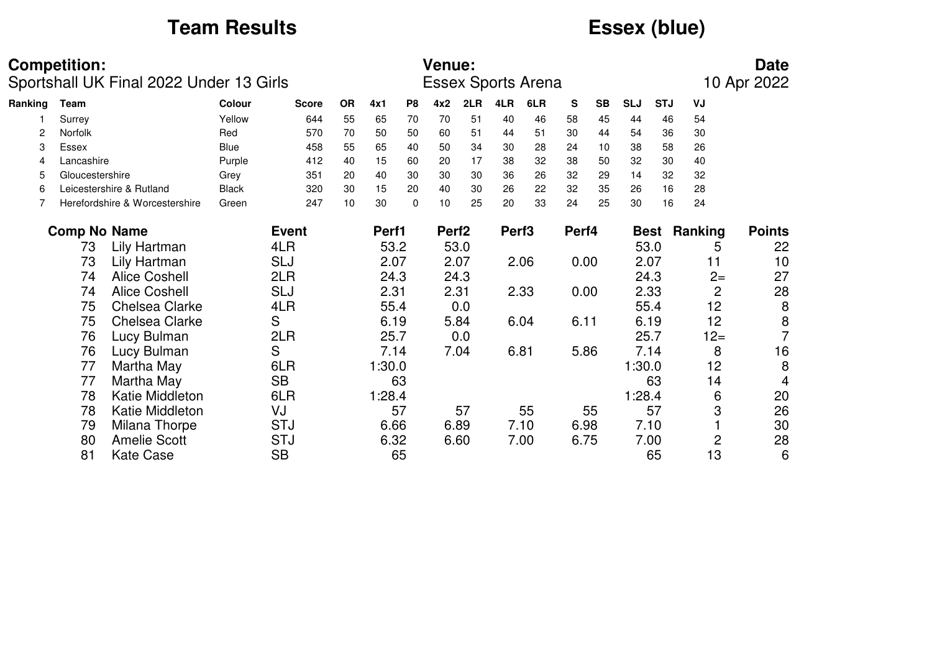# **Team Results Essex (blue)**

|         | <b>Competition:</b> | Sportshall UK Final 2022 Under 13 Girls |               |              |           |        |                | <b>Venue:</b>     |      |                   | <b>Essex Sports Arena</b> |       |           |            |             |                | <b>Date</b><br>10 Apr 2022 |
|---------|---------------------|-----------------------------------------|---------------|--------------|-----------|--------|----------------|-------------------|------|-------------------|---------------------------|-------|-----------|------------|-------------|----------------|----------------------------|
| Ranking | Team                |                                         | <b>Colour</b> | <b>Score</b> | <b>OR</b> | 4x1    | P <sub>8</sub> | 4x2               | 2LR  | 4LR               | 6LR                       | S     | <b>SB</b> | <b>SLJ</b> | <b>STJ</b>  | VJ             |                            |
|         | Surrey              |                                         | Yellow        | 644          | 55        | 65     | 70             | 70                | 51   | 40                | 46                        | 58    | 45        | 44         | 46          | 54             |                            |
|         | <b>Norfolk</b>      |                                         | Red           | 570          | 70        | 50     | 50             | 60                | 51   | 44                | 51                        | 30    | 44        | 54         | 36          | 30             |                            |
| 3       | Essex               |                                         | Blue          | 458          | 55        | 65     | 40             | 50                | 34   | 30                | 28                        | 24    | 10        | 38         | 58          | 26             |                            |
| 4       | Lancashire          |                                         | Purple        | 412          | 40        | 15     | 60             | 20                | 17   | 38                | 32                        | 38    | 50        | 32         | 30          | 40             |                            |
| 5       | Gloucestershire     |                                         | Grey          | 351          | 20        | 40     | 30             | 30                | 30   | 36                | 26                        | 32    | 29        | 14         | 32          | 32             |                            |
| 6       |                     | Leicestershire & Rutland                | <b>Black</b>  | 320          | 30        | 15     | 20             | 40                | 30   | 26                | 22                        | 32    | 35        | 26         | 16          | 28             |                            |
|         |                     | Herefordshire & Worcestershire          | Green         | 247          | 10        | 30     | $\Omega$       | 10                | 25   | 20                | 33                        | 24    | 25        | 30         | 16          | 24             |                            |
|         | <b>Comp No Name</b> |                                         |               | <b>Event</b> |           | Perf1  |                | Perf <sub>2</sub> |      | Perf <sub>3</sub> |                           | Perf4 |           |            | <b>Best</b> | Ranking        | <b>Points</b>              |
|         | 73                  | Lily Hartman                            |               | 4LR          |           | 53.2   |                |                   | 53.0 |                   |                           |       |           |            | 53.0        | 5              | 22                         |
|         | 73                  | Lily Hartman                            |               | <b>SLJ</b>   |           | 2.07   |                |                   | 2.07 |                   | 2.06                      | 0.00  |           |            | 2.07        | 11             | 10                         |
|         | 74                  | <b>Alice Coshell</b>                    |               | 2LR          |           | 24.3   |                |                   | 24.3 |                   |                           |       |           |            | 24.3        | $2 =$          | 27                         |
|         | 74                  | <b>Alice Coshell</b>                    |               | <b>SLJ</b>   |           | 2.31   |                |                   | 2.31 |                   | 2.33                      | 0.00  |           |            | 2.33        | $\overline{2}$ | 28                         |
|         | 75                  | <b>Chelsea Clarke</b>                   |               | 4LR          |           | 55.4   |                |                   | 0.0  |                   |                           |       |           |            | 55.4        | 12             | 8                          |
|         | 75                  | Chelsea Clarke                          |               | S            |           | 6.19   |                |                   | 5.84 |                   | 6.04                      | 6.11  |           |            | 6.19        | 12             | 8                          |
|         | 76                  | Lucy Bulman                             |               | 2LR          |           | 25.7   |                |                   | 0.0  |                   |                           |       |           |            | 25.7        | $12 =$         | $\overline{7}$             |
|         | 76                  | Lucy Bulman                             |               | S            |           | 7.14   |                |                   | 7.04 |                   | 6.81                      | 5.86  |           |            | 7.14        | 8              | 16                         |
|         | 77                  | Martha May                              |               | 6LR          |           | 1:30.0 |                |                   |      |                   |                           |       |           | 1:30.0     |             | 12             | 8                          |
|         | 77                  | Martha May                              |               | <b>SB</b>    |           |        | 63             |                   |      |                   |                           |       |           |            | 63          | 14             | 4                          |
|         | 78                  | Katie Middleton                         |               | 6LR          |           | 1:28.4 |                |                   |      |                   |                           |       |           | 1:28.4     |             | 6              | 20                         |
|         | 78                  | Katie Middleton                         |               | VJ           |           |        | 57             |                   | 57   |                   | 55                        |       | 55        |            | 57          | 3              | 26                         |
|         | 79                  | Milana Thorpe                           |               | <b>STJ</b>   |           | 6.66   |                |                   | 6.89 |                   | 7.10                      | 6.98  |           |            | 7.10        |                | 30                         |
|         | 80                  | <b>Amelie Scott</b>                     |               | <b>STJ</b>   |           | 6.32   |                |                   | 6.60 |                   | 7.00                      | 6.75  |           |            | 7.00        | $\overline{c}$ | 28                         |
|         | 81                  | <b>Kate Case</b>                        |               | <b>SB</b>    |           |        | 65             |                   |      |                   |                           |       |           |            | 65          | 13             | 6                          |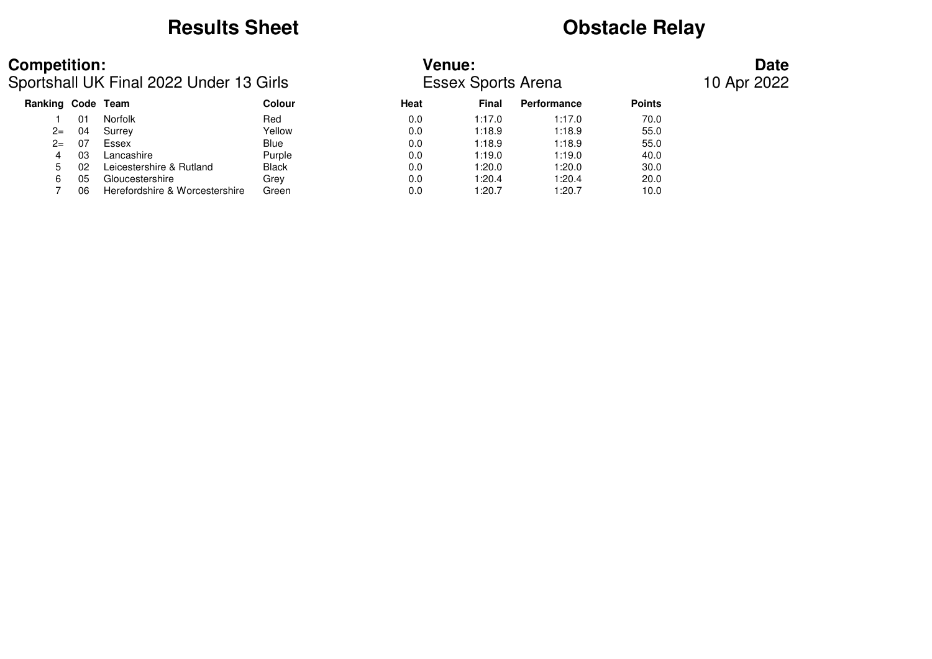# **Results Sheet Obstacle Relay**

Sportshall UK Final 2022 Under 13 Girls Essex Sports Arena 10 Apr 2022

## **Competition: Venue: Date**

|    |                                | Colour            | <b>Heat</b> | <b>Final</b> | <b>Performance</b> | <b>Points</b> |  |
|----|--------------------------------|-------------------|-------------|--------------|--------------------|---------------|--|
| 01 | <b>Norfolk</b>                 | Red               | 0.0         | 1:17.0       | 1:17.0             | 70.0          |  |
| 04 | Surrey                         | Yellow            | 0.0         | 1:18.9       | 1:18.9             | 55.0          |  |
| 07 | Essex                          | Blue              | 0.0         | 1:18.9       | 1:18.9             | 55.0          |  |
| 03 | Lancashire                     | Purple            | 0.0         | 1:19.0       | 1:19.0             | 40.0          |  |
| 02 | Leicestershire & Rutland       | <b>Black</b>      | 0.0         | 1:20.0       | 1:20.0             | 30.0          |  |
| 05 | Gloucestershire                | Grey              | 0.0         | 1:20.4       | 1:20.4             | 20.0          |  |
| 06 | Herefordshire & Worcestershire | Green             | 0.0         | 1:20.7       | 1:20.7             | 10.0          |  |
|    |                                | Ranking Code Team |             |              |                    |               |  |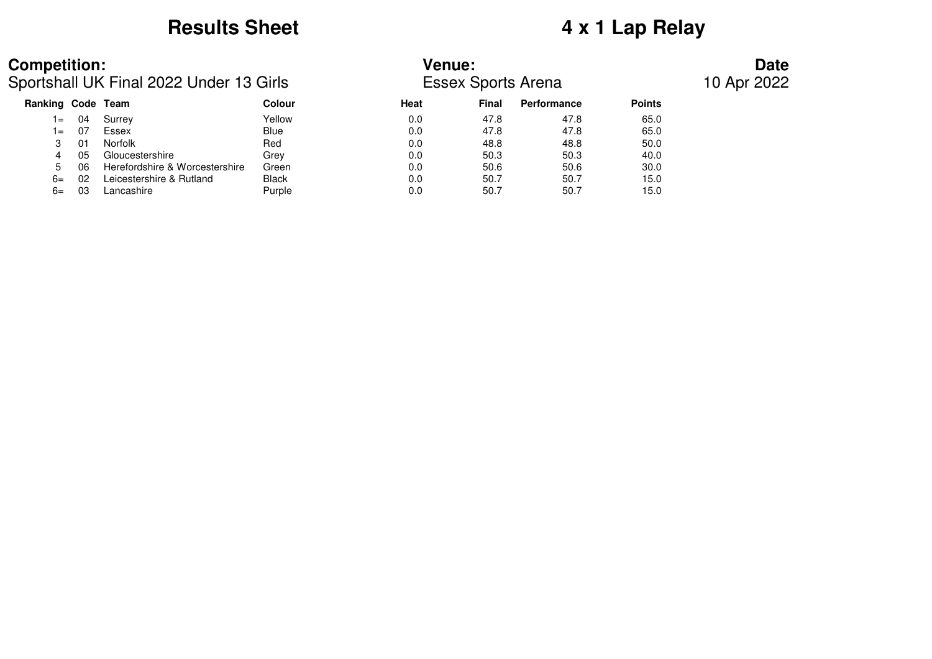# **Results Sheet 4 x 1 Lap Relay**

## **Competition: Venue: Date**

Sportshall UK Final 2022 Under 13 Girls Essex Sports Arena 10 Apr 2022

| Ranking Code Team |     |                                | Colour       | <b>Heat</b> | <b>Final</b> | Performance | <b>Points</b> |  |
|-------------------|-----|--------------------------------|--------------|-------------|--------------|-------------|---------------|--|
| $=$               | 04  | Surrey                         | Yellow       | 0.0         | 47.8         | 47.8        | 65.0          |  |
| $=$               | -07 | Essex                          | Blue         | 0.0         | 47.8         | 47.8        | 65.0          |  |
|                   | 01  | Norfolk                        | Red          | 0.0         | 48.8         | 48.8        | 50.0          |  |
|                   | 05  | Gloucestershire                | Grev         | 0.0         | 50.3         | 50.3        | 40.0          |  |
| 5                 | 06  | Herefordshire & Worcestershire | Green        | 0.0         | 50.6         | 50.6        | 30.0          |  |
| 6=                | 02  | Leicestershire & Rutland       | <b>Black</b> | 0.0         | 50.7         | 50.7        | 15.0          |  |
| 6=                | 03  | Lancashire                     | Purple       | 0.0         | 50.7         | 50.7        | 15.0          |  |
|                   |     |                                |              |             |              |             |               |  |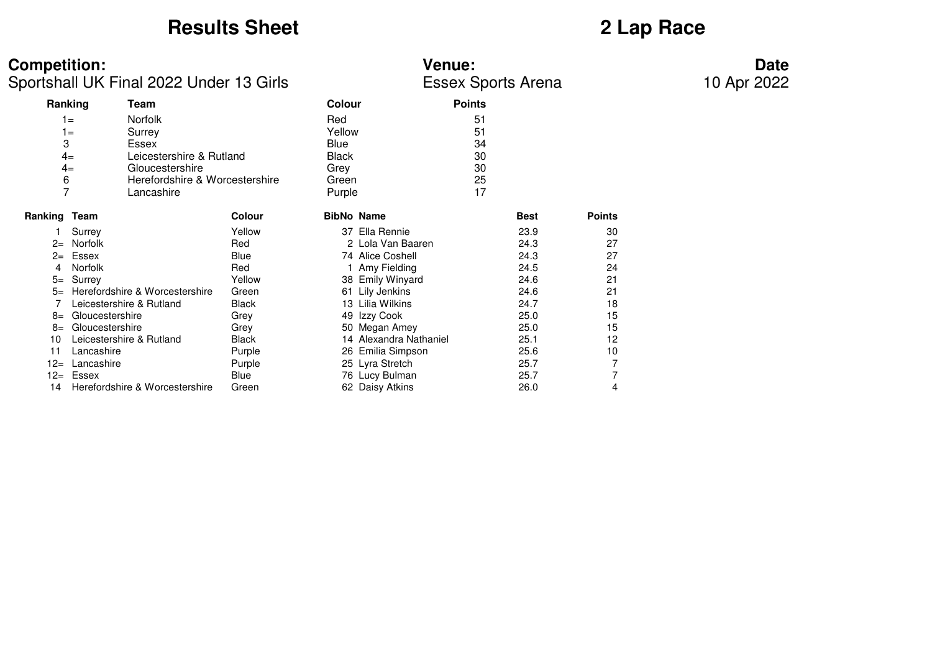## **Results Sheet 2 Lap Race**

| <b>Competition:</b><br><b>Venue:</b> | Date |
|--------------------------------------|------|
|--------------------------------------|------|

Sportshall UK Final 2022 Under 13 Girls **ESSEX** Sports Arena

|              | Ranking<br>Team                |               | <b>Colour</b> |                        | <b>Points</b> |             |               |
|--------------|--------------------------------|---------------|---------------|------------------------|---------------|-------------|---------------|
|              | <b>Norfolk</b><br>$1 =$        |               | Red           |                        | 51            |             |               |
|              | $1 =$<br>Surrey                |               | Yellow        |                        | 51            |             |               |
| 3            | Essex                          |               | Blue          |                        | 34            |             |               |
| $4=$         | Leicestershire & Rutland       |               | <b>Black</b>  |                        | 30            |             |               |
| $4=$         | Gloucestershire                |               | Grey          |                        | 30            |             |               |
| 6            | Herefordshire & Worcestershire |               | Green         |                        | 25            |             |               |
| 7            | Lancashire                     |               | Purple        |                        | 17            |             |               |
| Ranking Team |                                | <b>Colour</b> |               | <b>BibNo Name</b>      |               | <b>Best</b> | <b>Points</b> |
|              | Surrey                         | Yellow        | 37            | Ella Rennie            |               | 23.9        | 30            |
| $2 =$        | Norfolk                        | Red           |               | 2 Lola Van Baaren      |               | 24.3        | 27            |
| $2 =$        | Essex                          | Blue          |               | 74 Alice Coshell       |               | 24.3        | 27            |
| 4            | <b>Norfolk</b>                 | Red           |               | 1 Amy Fielding         |               | 24.5        | 24            |
| $5=$         | Surrey                         | Yellow        |               | 38 Emily Winyard       |               | 24.6        | 21            |
| $5=$         | Herefordshire & Worcestershire | Green         |               | 61 Lily Jenkins        |               | 24.6        | 21            |
|              | Leicestershire & Rutland       | <b>Black</b>  | 13            | Lilia Wilkins          |               | 24.7        | 18            |
| $8=$         | Gloucestershire                | Grey          |               | 49 Izzy Cook           |               | 25.0        | 15            |
| $8=$         | Gloucestershire                | Grey          |               | 50 Megan Amey          |               | 25.0        | 15            |
| 10           | Leicestershire & Rutland       | Black         |               | 14 Alexandra Nathaniel |               | 25.1        | 12            |
| 11           | Lancashire                     | Purple        |               | 26 Emilia Simpson      |               | 25.6        | 10            |
| $12 =$       | Lancashire                     | Purple        |               | 25 Lyra Stretch        |               | 25.7        | 7             |
| $12 =$       | Essex                          | Blue          |               | 76 Lucy Bulman         |               | 25.7        | 7             |
| 14           | Herefordshire & Worcestershire | Green         |               | 62 Daisy Atkins        |               | 26.0        | 4             |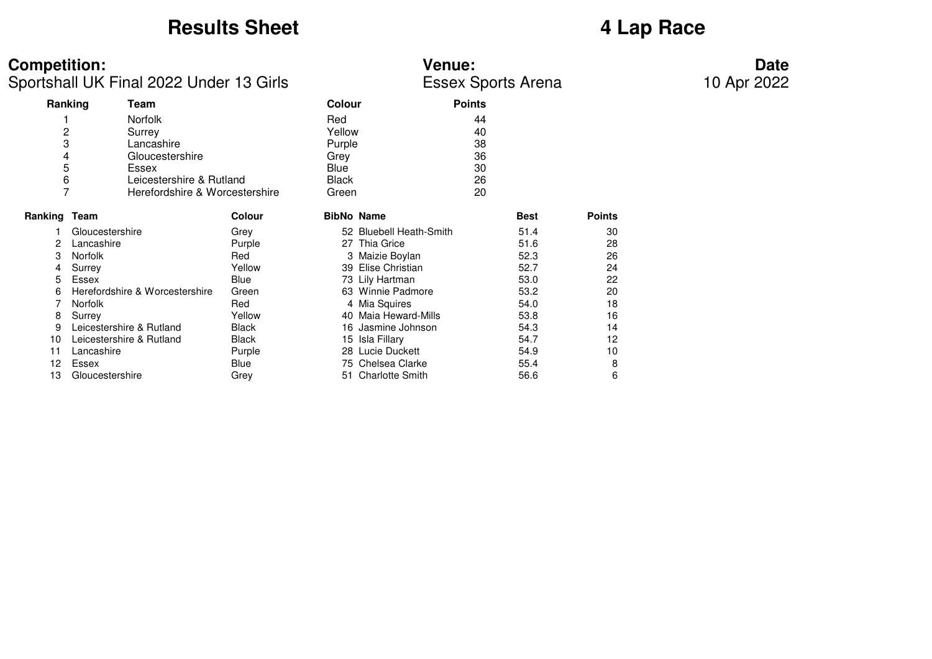## **Results Sheet 4 Lap Race**

| <b>Competition:</b><br><b>Venue:</b> | Date |
|--------------------------------------|------|
|--------------------------------------|------|

Sportshall UK Final 2022 Under 13 Girls **Essex Sports Arena** 

|                     | Ranking                  | Team                           |               | <b>Colour</b>     |                         | <b>Points</b> |               |
|---------------------|--------------------------|--------------------------------|---------------|-------------------|-------------------------|---------------|---------------|
|                     |                          | <b>Norfolk</b>                 |               | Red               |                         | 44            |               |
| $\overline{c}$      |                          | Surrey                         |               | Yellow            |                         | 40            |               |
| 3                   |                          | Lancashire                     |               | Purple            |                         | 38            |               |
| 4                   |                          | Gloucestershire                |               | Grey              |                         | 36            |               |
| 5                   |                          | Essex                          |               | Blue              |                         | 30            |               |
| 6                   |                          | Leicestershire & Rutland       |               | Black             |                         | 26            |               |
| $\overline{7}$      |                          | Herefordshire & Worcestershire |               | Green             |                         | 20            |               |
| <b>Ranking Team</b> |                          |                                | <b>Colour</b> | <b>BibNo Name</b> |                         | <b>Best</b>   | <b>Points</b> |
|                     | Gloucestershire          |                                | Grey          |                   | 52 Bluebell Heath-Smith | 51.4          | 30            |
| 2                   | Lancashire               |                                | Purple        |                   | 27 Thia Grice           | 51.6          | 28            |
| 3                   | Norfolk                  |                                | Red           |                   | 3 Maizie Boylan         | 52.3          | 26            |
| 4                   | Surrey                   |                                | Yellow        |                   | 39 Elise Christian      | 52.7          | 24            |
| 5                   | Essex                    |                                | Blue          |                   | 73 Lily Hartman         | 53.0          | 22            |
| 6                   |                          | Herefordshire & Worcestershire | Green         |                   | 63 Winnie Padmore       | 53.2          | 20            |
|                     | <b>Norfolk</b>           |                                | Red           |                   | 4 Mia Squires           | 54.0          | 18            |
| 8                   | Surrey                   |                                | Yellow        |                   | 40 Maia Heward-Mills    | 53.8          | 16            |
| 9                   | Leicestershire & Rutland |                                | <b>Black</b>  |                   | 16 Jasmine Johnson      | 54.3          | 14            |
| 10                  | Leicestershire & Rutland |                                | <b>Black</b>  |                   | 15 Isla Fillary         | 54.7          | 12            |
| 11                  | Lancashire               |                                | Purple        |                   | 28 Lucie Duckett        | 54.9          | 10            |
| 12                  | Essex                    |                                | Blue          |                   | 75 Chelsea Clarke       | 55.4          | 8             |
| 13                  | Gloucestershire          |                                | Grey          |                   | 51 Charlotte Smith      | 56.6          | 6             |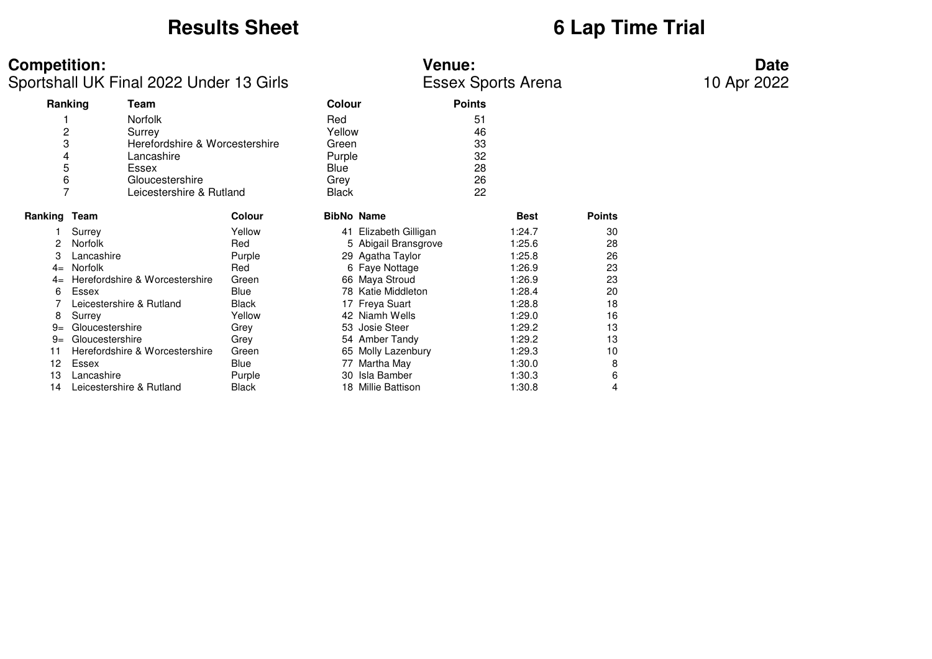## **Results Sheet 6 Lap Time Trial**

## **Competition: Venue: Date**

Sportshall UK Final 2022 Under 13 Girls Essex Sports Arena 10 Apr 2022

|                | Ranking                  | Team                           |               | <b>Colour</b>     |                       | <b>Points</b> |             |               |
|----------------|--------------------------|--------------------------------|---------------|-------------------|-----------------------|---------------|-------------|---------------|
|                |                          | <b>Norfolk</b>                 |               | Red               |                       | 51            |             |               |
| 2              |                          | Surrey                         |               | Yellow            |                       | 46            |             |               |
| 3              |                          | Herefordshire & Worcestershire |               | Green             |                       | 33            |             |               |
| 4              |                          | Lancashire                     |               | Purple            |                       | 32            |             |               |
| 5              |                          | Essex                          |               | Blue              |                       | 28            |             |               |
| 6              |                          | Gloucestershire                |               | Grey              |                       | 26            |             |               |
| $\overline{7}$ |                          | Leicestershire & Rutland       |               | <b>Black</b>      |                       | 22            |             |               |
|                |                          |                                |               |                   |                       |               |             |               |
| Ranking        | Team                     |                                | <b>Colour</b> | <b>BibNo Name</b> |                       |               | <b>Best</b> | <b>Points</b> |
|                | Surrey                   |                                | Yellow        |                   | 41 Elizabeth Gilligan |               | 1:24.7      | 30            |
| 2              | <b>Norfolk</b>           |                                | Red           |                   | 5 Abigail Bransgrove  |               | 1:25.6      | 28            |
| 3              | Lancashire               |                                | Purple        |                   | 29 Agatha Taylor      |               | 1:25.8      | 26            |
| $4=$           | Norfolk                  |                                | Red           |                   | 6 Faye Nottage        |               | 1:26.9      | 23            |
| $4=$           |                          | Herefordshire & Worcestershire | Green         |                   | 66 Maya Stroud        |               | 1:26.9      | 23            |
| 6              | Essex                    |                                | <b>Blue</b>   |                   | 78 Katie Middleton    |               | 1:28.4      | 20            |
|                | Leicestershire & Rutland |                                | <b>Black</b>  |                   | 17 Freya Suart        |               | 1:28.8      | 18            |
| 8              | Surrey                   |                                | Yellow        |                   | 42 Niamh Wells        |               | 1:29.0      | 16            |
| $9=$           | Gloucestershire          |                                | Grey          |                   | 53 Josie Steer        |               | 1:29.2      | 13            |
| $9=$           | Gloucestershire          |                                | Grey          |                   | 54 Amber Tandy        |               | 1:29.2      | 13            |
| 11             |                          | Herefordshire & Worcestershire | Green         |                   | 65 Molly Lazenbury    |               | 1:29.3      | 10            |
| 12             | Essex                    |                                | Blue          | 77                | Martha May            |               | 1:30.0      | 8             |
| 13             | Lancashire               |                                | Purple        | 30                | Isla Bamber           |               | 1:30.3      | 6             |
| 14             | Leicestershire & Rutland |                                | Black         |                   | 18 Millie Battison    |               | 1:30.8      | 4             |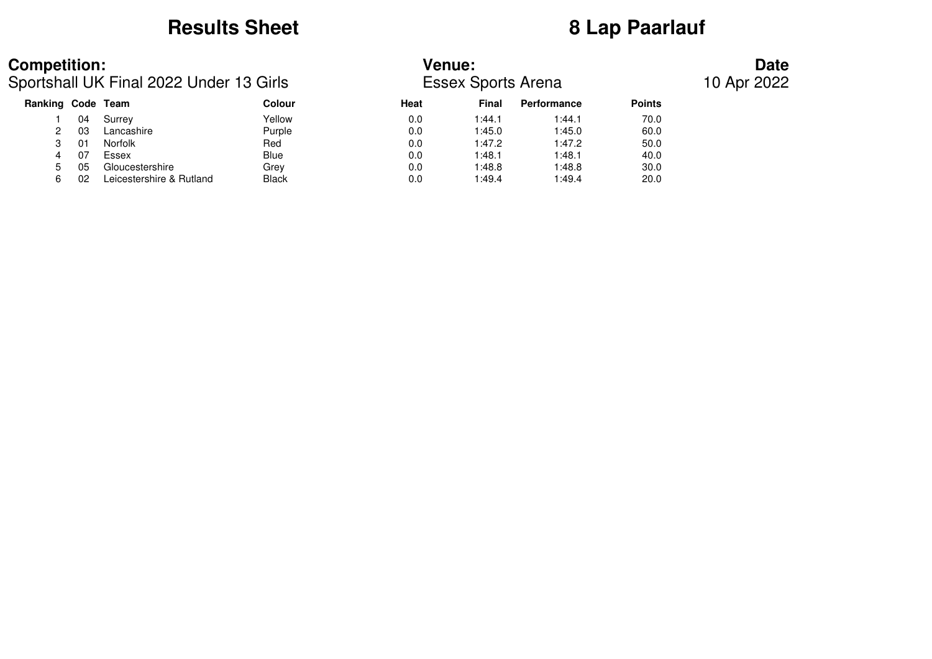## **Results Sheet 8 Lap Paarlauf**

## **Competition: Venue: Date**

Sportshall UK Final 2022 Under 13 Girls Essex Sports Arena 10 Apr 2022

| Ranking Code Team |    |                          | Colour | <b>Heat</b> | <b>Final</b> | <b>Performance</b> | <b>Points</b> |
|-------------------|----|--------------------------|--------|-------------|--------------|--------------------|---------------|
|                   | 04 | Surrey                   | Yellow | 0.0         | 1:44.1       | 1:44.1             | 70.0          |
|                   | 03 | Lancashire               | Purple | 0.0         | 1:45.0       | 1:45.0             | 60.0          |
|                   | 01 | Norfolk                  | Red    | 0.0         | 1:47.2       | 1:47.2             | 50.0          |
| 4                 | 07 | Essex                    | Blue   | 0.0         | 1:48.1       | 1:48.1             | 40.0          |
|                   | 05 | Gloucestershire          | Grev   | 0.0         | 1:48.8       | 1:48.8             | 30.0          |
|                   | 02 | Leicestershire & Rutland | Black  | 0.0         | 1:49.4       | 1:49.4             | 20.0          |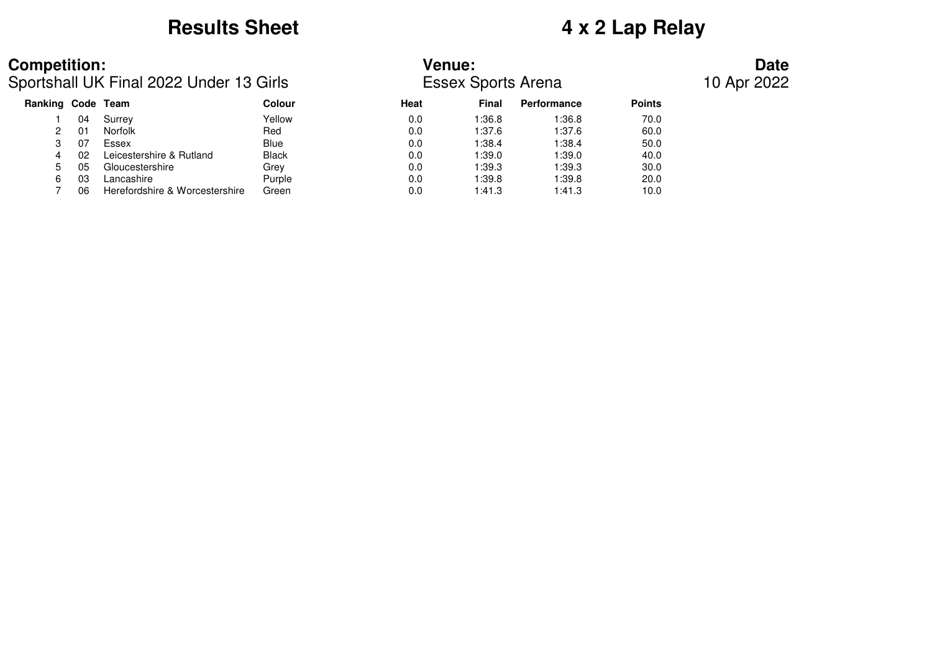# **Results Sheet 4 x 2 Lap Relay**

Sportshall UK Final 2022 Under 13 Girls Essex Sports Arena 10 Apr 2022

## **Competition: Venue: Date**

| Ranking Code Team |    |                                | Colour       | Heat | Final  | Performance | <b>Points</b> |
|-------------------|----|--------------------------------|--------------|------|--------|-------------|---------------|
|                   | 04 | Surrey                         | Yellow       | 0.0  | 1:36.8 | 1:36.8      | 70.0          |
| 2                 | 01 | <b>Norfolk</b>                 | Red          | 0.0  | 1:37.6 | 1:37.6      | 60.0          |
|                   | 07 | Essex                          | <b>Blue</b>  | 0.0  | 1:38.4 | 1:38.4      | 50.0          |
| 4                 | 02 | Leicestershire & Rutland       | <b>Black</b> | 0.0  | 1:39.0 | 1:39.0      | 40.0          |
| 5.                | 05 | Gloucestershire                | Grev         | 0.0  | 1:39.3 | 1:39.3      | 30.0          |
| 6                 | 03 | Lancashire                     | Purple       | 0.0  | 1:39.8 | 1:39.8      | 20.0          |
|                   | 06 | Herefordshire & Worcestershire | Green        | 0.0  | 1:41.3 | 1:41.3      | 10.0          |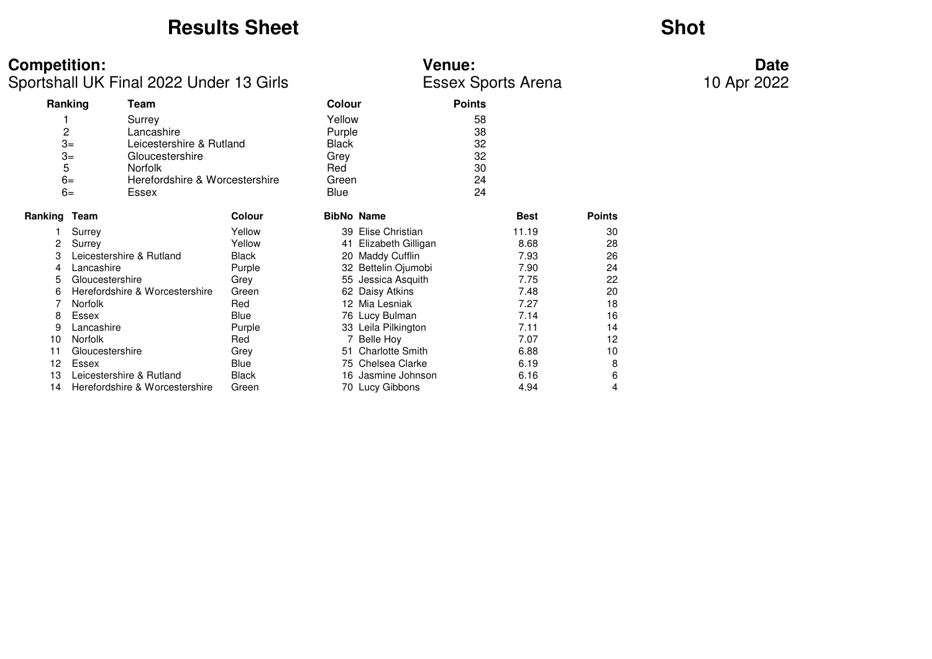## **Results Sheet**

## **Shot**

**Competition:**<br> **Date**<br>
Sportshall UK Final 2022 Under 13 Girls<br>
Essex Sports Arena 10 Apr 2022 Sportshall UK Final 2022 Under 13 Girls

|              | Ranking<br>Team                        |        | <b>Colour</b>     |                       | <b>Points</b> |             |               |
|--------------|----------------------------------------|--------|-------------------|-----------------------|---------------|-------------|---------------|
|              | Surrey                                 |        | Yellow            |                       | 58            |             |               |
| 2            | Lancashire                             |        | Purple            |                       | 38            |             |               |
|              | $3=$<br>Leicestershire & Rutland       |        | <b>Black</b>      |                       | 32            |             |               |
|              | $3=$<br>Gloucestershire                |        | Grey              |                       | 32            |             |               |
| 5            | <b>Norfolk</b>                         |        | Red               |                       | 30            |             |               |
|              | $6=$<br>Herefordshire & Worcestershire |        | Green             |                       | 24            |             |               |
|              | $6=$<br>Essex                          |        | Blue              |                       | 24            |             |               |
| Ranking Team |                                        | Colour | <b>BibNo Name</b> |                       |               | <b>Best</b> | <b>Points</b> |
|              | Surrey                                 | Yellow |                   | 39 Elise Christian    |               | 11.19       | 30            |
| 2            | Surrey                                 | Yellow |                   | 41 Elizabeth Gilligan |               | 8.68        | 28            |
| 3            | Leicestershire & Rutland               | Black  | 20                | Maddy Cufflin         |               | 7.93        | 26            |
| 4            | Lancashire                             | Purple |                   | 32 Bettelin Ojumobi   |               | 7.90        | 24            |
| 5            | Gloucestershire                        | Grey   | 55                | Jessica Asquith       |               | 7.75        | 22            |
| 6            | Herefordshire & Worcestershire         | Green  |                   | 62 Daisy Atkins       |               | 7.48        | 20            |
|              | <b>Norfolk</b>                         | Red    |                   | 12 Mia Lesniak        |               | 7.27        | 18            |
| 8            | Essex                                  | Blue   |                   | 76 Lucy Bulman        |               | 7.14        | 16            |
| 9            | Lancashire                             | Purple |                   | 33 Leila Pilkington   |               | 7.11        | 14            |
| 10           | <b>Norfolk</b>                         | Red    |                   | 7 Belle Hoy           |               | 7.07        | 12            |
| 11           | Gloucestershire                        | Grey   |                   | 51 Charlotte Smith    |               | 6.88        | 10            |
| 12           | Essex                                  | Blue   |                   | 75 Chelsea Clarke     |               | 6.19        | 8             |
| 13           | Leicestershire & Rutland               | Black  | 16                | Jasmine Johnson       |               | 6.16        | 6             |
| 14           | Herefordshire & Worcestershire         | Green  |                   | 70 Lucy Gibbons       |               | 4.94        | 4             |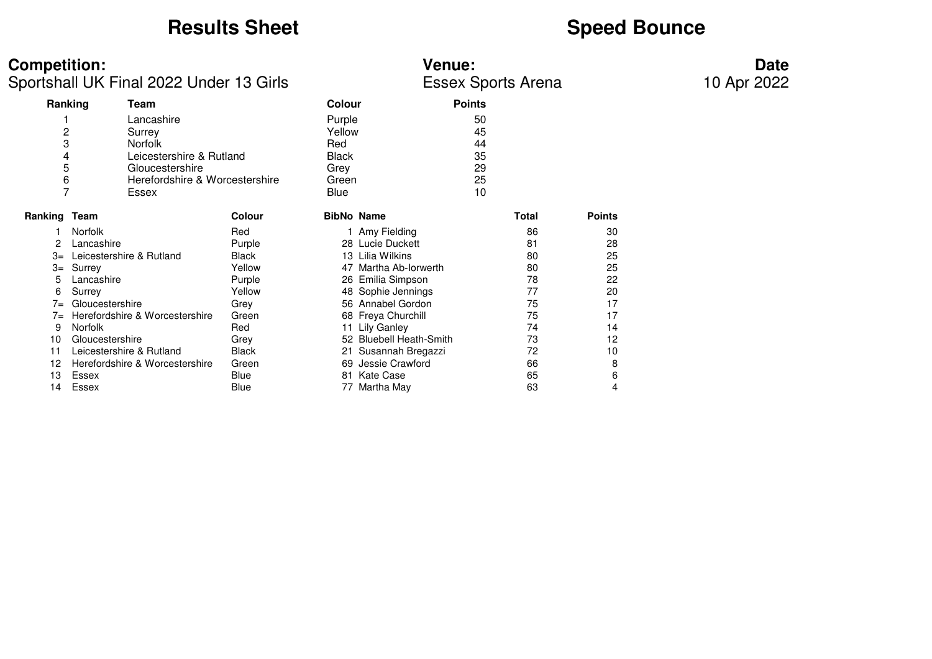# **Results Sheet**<br> **Speed Bounce**

| <b>Competition:</b><br><b>Venue:</b> | Date |
|--------------------------------------|------|
|--------------------------------------|------|

Sportshall UK Final 2022 Under 13 Girls Essex Sports Arena

|              | Ranking                  | Team                           |               | <b>Colour</b> |                         | <b>Points</b> |       |               |
|--------------|--------------------------|--------------------------------|---------------|---------------|-------------------------|---------------|-------|---------------|
|              |                          | Lancashire                     |               | Purple        |                         | 50            |       |               |
| 2            |                          | Surrey                         |               | Yellow        |                         | 45            |       |               |
| 3            |                          | <b>Norfolk</b>                 |               | Red           |                         | 44            |       |               |
| 4            |                          | Leicestershire & Rutland       |               | <b>Black</b>  |                         | 35            |       |               |
| 5            |                          | Gloucestershire                |               | Grey          |                         | 29            |       |               |
| 6            |                          | Herefordshire & Worcestershire |               | Green         |                         | 25            |       |               |
| 7            |                          | Essex                          |               | Blue          |                         | 10            |       |               |
| Ranking Team |                          |                                | <b>Colour</b> |               | <b>BibNo Name</b>       |               | Total | <b>Points</b> |
|              | <b>Norfolk</b>           |                                | Red           |               | 1 Amy Fielding          |               | 86    | 30            |
| 2            | Lancashire               |                                | Purple        |               | 28 Lucie Duckett        |               | 81    | 28            |
| 3=           | Leicestershire & Rutland |                                | Black         |               | 13 Lilia Wilkins        |               | 80    | 25            |
|              | $3 =$ Surrey             |                                | Yellow        |               | Martha Ab-Iorwerth      |               | 80    | 25            |
| 5            | Lancashire               |                                | Purple        |               | 26 Emilia Simpson       |               | 78    | 22            |
| 6            | Surrey                   |                                | Yellow        |               | 48 Sophie Jennings      |               | 77    | 20            |
| $7 =$        | Gloucestershire          |                                | Grey          |               | 56 Annabel Gordon       |               | 75    | 17            |
| $7 =$        |                          | Herefordshire & Worcestershire | Green         |               | 68 Freya Churchill      |               | 75    | 17            |
| 9            | Norfolk                  |                                | Red           |               | 11 Lily Ganley          |               | 74    | 14            |
| 10           | Gloucestershire          |                                | Grey          |               | 52 Bluebell Heath-Smith |               | 73    | 12            |
| 11           |                          | Leicestershire & Rutland       | <b>Black</b>  |               | 21 Susannah Bregazzi    |               | 72    | 10            |
| 12           |                          | Herefordshire & Worcestershire | Green         | 69            | Jessie Crawford         |               | 66    | 8             |
| 13           | Essex                    |                                | Blue          | 81            | Kate Case               |               | 65    | 6             |
| 14           | Essex                    |                                | Blue          | 77            | Martha May              |               | 63    | 4             |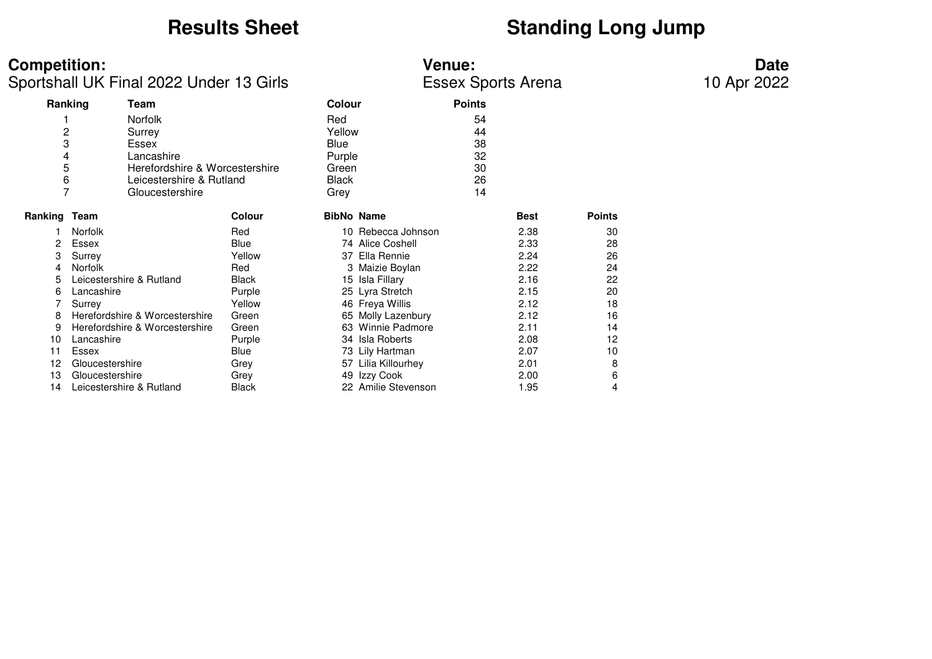# **Results Sheet**<br> **Standing Long Jump**

| <b>Competition:</b><br><b>Venue:</b> | Date |
|--------------------------------------|------|
|--------------------------------------|------|

Sportshall UK Final 2022 Under 13 Girls **ESSEX Sports Arena** 

|                | Ranking<br>Team                |              |                   | Colour                | <b>Points</b> |             |               |
|----------------|--------------------------------|--------------|-------------------|-----------------------|---------------|-------------|---------------|
|                | <b>Norfolk</b>                 |              | Red               |                       | 54            |             |               |
| $\overline{c}$ | Surrey                         |              | Yellow            |                       | 44            |             |               |
| 3              | Essex                          |              | Blue              |                       | 38            |             |               |
| 4              | Lancashire                     |              | Purple            |                       | 32            |             |               |
| 5              | Herefordshire & Worcestershire |              | Green             |                       | 30            |             |               |
| 6              | Leicestershire & Rutland       |              | <b>Black</b>      |                       | 26            |             |               |
| 7              | Gloucestershire                |              | Grey              |                       | 14            |             |               |
| Ranking Team   |                                | Colour       | <b>BibNo Name</b> |                       |               | <b>Best</b> | <b>Points</b> |
|                | <b>Norfolk</b>                 | Red          |                   | 10 Rebecca Johnson    |               | 2.38        | 30            |
| 2              | Essex                          | Blue         |                   | 74 Alice Coshell      |               | 2.33        | 28            |
| 3              | Surrey                         | Yellow       | 37                | Ella Rennie           |               | 2.24        | 26            |
| 4              | <b>Norfolk</b>                 | Red          |                   | 3 Maizie Boylan       |               | 2.22        | 24            |
| 5              | Leicestershire & Rutland       | <b>Black</b> | 15                | Isla Fillary          |               | 2.16        | 22            |
| 6              | Lancashire                     | Purple       |                   | 25 Lyra Stretch       |               | 2.15        | 20            |
|                | Surrey                         | Yellow       |                   | 46 Freya Willis       |               | 2.12        | 18            |
| 8              | Herefordshire & Worcestershire | Green        |                   | 65 Molly Lazenbury    |               | 2.12        | 16            |
| 9              | Herefordshire & Worcestershire | Green        | 63                | <b>Winnie Padmore</b> |               | 2.11        | 14            |
| 10             | Lancashire                     | Purple       |                   | 34 Isla Roberts       |               | 2.08        | 12            |
| 11             | Essex                          | Blue         |                   | 73 Lily Hartman       |               | 2.07        | 10            |
| 12             | Gloucestershire                | Grey         |                   | 57 Lilia Killourhey   |               | 2.01        | 8             |
| 13             | Gloucestershire                | Grey         |                   | 49 Izzy Cook          |               | 2.00        | 6             |
| 14             | Leicestershire & Rutland       | Black        |                   | 22 Amilie Stevenson   |               | 1.95        | 4             |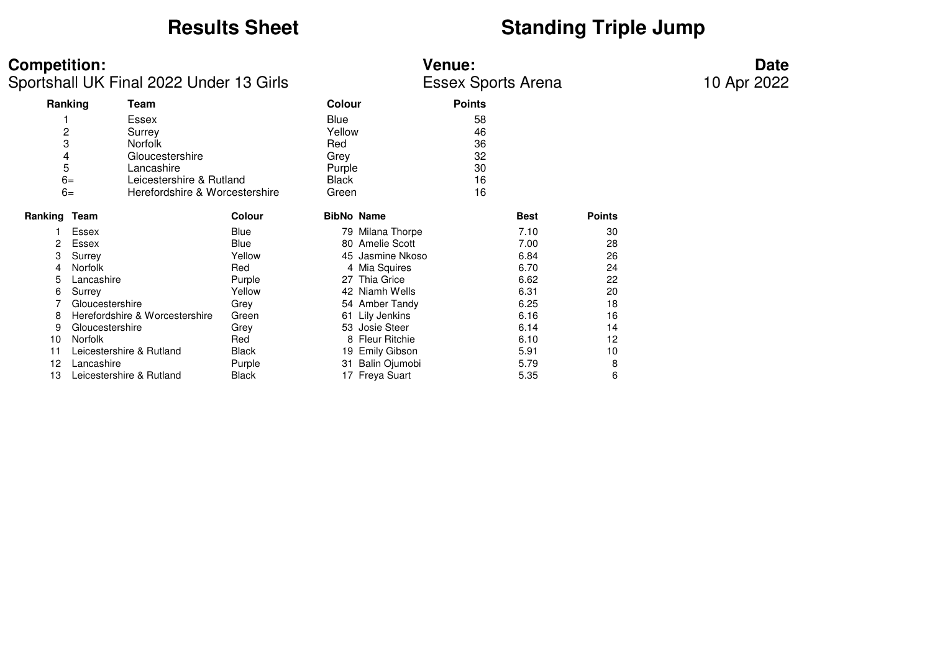# **Results Sheet**<br> **Standing Triple Jump**

| <b>Competition:</b> | <b>Venue:</b>                           |                           |               |                   |               | <b>Date</b> |               |  |
|---------------------|-----------------------------------------|---------------------------|---------------|-------------------|---------------|-------------|---------------|--|
|                     | Sportshall UK Final 2022 Under 13 Girls | <b>Essex Sports Arena</b> |               |                   |               | 10 Apr 2022 |               |  |
|                     | Ranking<br>Team                         |                           | <b>Colour</b> |                   | <b>Points</b> |             |               |  |
|                     | Essex                                   |                           | Blue          |                   | 58            |             |               |  |
|                     | $\overline{c}$<br>Surrey                |                           | Yellow        |                   | 46            |             |               |  |
|                     | 3<br><b>Norfolk</b>                     |                           | Red           |                   | 36            |             |               |  |
|                     | Gloucestershire<br>4                    |                           | Grey          |                   | 32            |             |               |  |
|                     | 5<br>Lancashire                         |                           | Purple        |                   | 30            |             |               |  |
|                     | $6=$<br>Leicestershire & Rutland        |                           | <b>Black</b>  |                   | 16            |             |               |  |
|                     | $6=$<br>Herefordshire & Worcestershire  |                           | Green         |                   | 16            |             |               |  |
| Ranking Team        |                                         | Colour                    |               | <b>BibNo Name</b> |               | <b>Best</b> | <b>Points</b> |  |
|                     | Essex                                   | Blue                      |               | 79 Milana Thorpe  |               | 7.10        | 30            |  |
| 2                   | Essex                                   | Blue                      |               | 80 Amelie Scott   |               | 7.00        | 28            |  |
| 3                   | Surrey                                  | Yellow                    |               | 45 Jasmine Nkoso  |               | 6.84        | 26            |  |
| 4                   | <b>Norfolk</b>                          | Red                       |               | 4 Mia Squires     |               | 6.70        | 24            |  |
| 5                   | Lancashire                              | Purple                    |               | 27 Thia Grice     |               | 6.62        | 22            |  |
| 6                   | Surrey                                  | Yellow                    |               | 42 Niamh Wells    |               | 6.31        | 20            |  |
|                     | Gloucestershire                         | Grey                      |               | 54 Amber Tandy    |               | 6.25        | 18            |  |
| 8                   | Herefordshire & Worcestershire          | Green                     |               | 61 Lily Jenkins   |               | 6.16        | 16            |  |
| 9                   | Gloucestershire                         | Grey                      |               | 53 Josie Steer    |               | 6.14        | 14            |  |
| 10                  | <b>Norfolk</b>                          | Red                       |               | 8 Fleur Ritchie   |               | 6.10        | 12            |  |
| 11                  | Leicestershire & Rutland                | Black                     |               | 19 Emily Gibson   |               | 5.91        | 10            |  |
| 12                  | Lancashire                              | Purple                    |               | 31 Balin Ojumobi  |               | 5.79        | 8             |  |
| 13                  | Leicestershire & Rutland                | Black                     |               | 17 Freya Suart    |               | 5.35        | 6             |  |